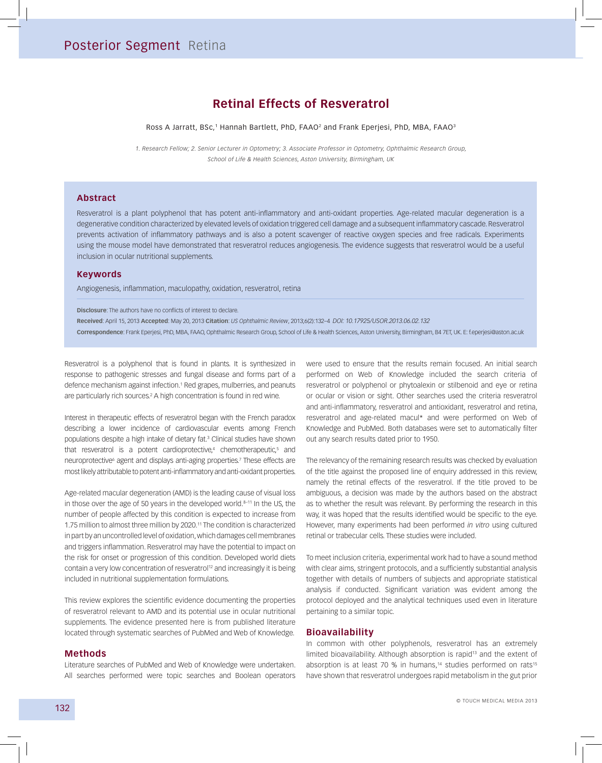# **Retinal Effects of Resveratrol**

Ross A Jarratt, BSc,<sup>1</sup> Hannah Bartlett, PhD, FAAO<sup>2</sup> and Frank Eperjesi, PhD, MBA, FAAO<sup>3</sup>

*1. Research Fellow; 2. Senior Lecturer in Optometry; 3. Associate Professor in Optometry, Ophthalmic Research Group, School of Life & Health Sciences, Aston University, Birmingham, UK* 

#### **Abstract**

Resveratrol is a plant polyphenol that has potent anti-inflammatory and anti-oxidant properties. Age-related macular degeneration is a degenerative condition characterized by elevated levels of oxidation triggered cell damage and a subsequent inflammatory cascade. Resveratrol prevents activation of inflammatory pathways and is also a potent scavenger of reactive oxygen species and free radicals. Experiments using the mouse model have demonstrated that resveratrol reduces angiogenesis. The evidence suggests that resveratrol would be a useful inclusion in ocular nutritional supplements.

### **Keywords**

Angiogenesis, inflammation, maculopathy, oxidation, resveratrol, retina

**Disclosure**: The authors have no conflicts of interest to declare.

**Received**: April 15, 2013 **Accepted**: May 20, 2013 **Citation**: *US Ophthalmic Review*, 2013;6(2):132–4 *DOI: 10.17925/USOR.2013.06.02.132***Correspondence**: Frank Eperjesi, PhD, MBA, FAAO, Ophthalmic Research Group, School of Life & Health Sciences, Aston University, Birmingham, B4 7ET, UK. E: f.eperjesi@aston.ac.uk

Resveratrol is a polyphenol that is found in plants. It is synthesized in response to pathogenic stresses and fungal disease and forms part of a defence mechanism against infection.<sup>1</sup> Red grapes, mulberries, and peanuts are particularly rich sources.<sup>2</sup> A high concentration is found in red wine.

Interest in therapeutic effects of resveratrol began with the French paradox describing a lower incidence of cardiovascular events among French populations despite a high intake of dietary fat.3 Clinical studies have shown that resveratrol is a potent cardioprotective,<sup>4</sup> chemotherapeutic,<sup>5</sup> and neuroprotective<sup>6</sup> agent and displays anti-aging properties.<sup>7</sup> These effects are most likely attributable to potent anti-inflammatory and anti-oxidant properties.

Age-related macular degeneration (AMD) is the leading cause of visual loss in those over the age of 50 years in the developed world. $8-11$  In the US, the number of people affected by this condition is expected to increase from 1.75 million to almost three million by 2020.11 The condition is characterized in part by an uncontrolled level of oxidation, which damages cell membranes and triggers inflammation. Resveratrol may have the potential to impact on the risk for onset or progression of this condition. Developed world diets contain a very low concentration of resveratrol<sup>12</sup> and increasingly it is being included in nutritional supplementation formulations.

This review explores the scientific evidence documenting the properties of resveratrol relevant to AMD and its potential use in ocular nutritional supplements. The evidence presented here is from published literature located through systematic searches of PubMed and Web of Knowledge.

#### **Methods**

Literature searches of PubMed and Web of Knowledge were undertaken. All searches performed were topic searches and Boolean operators were used to ensure that the results remain focused. An initial search performed on Web of Knowledge included the search criteria of resveratrol or polyphenol or phytoalexin or stilbenoid and eye or retina or ocular or vision or sight. Other searches used the criteria resveratrol and anti-inflammatory, resveratrol and antioxidant, resveratrol and retina, resveratrol and age-related macul\* and were performed on Web of Knowledge and PubMed. Both databases were set to automatically filter out any search results dated prior to 1950.

The relevancy of the remaining research results was checked by evaluation of the title against the proposed line of enquiry addressed in this review, namely the retinal effects of the resveratrol. If the title proved to be ambiguous, a decision was made by the authors based on the abstract as to whether the result was relevant. By performing the research in this way, it was hoped that the results identified would be specific to the eye. However, many experiments had been performed *in vitro* using cultured retinal or trabecular cells. These studies were included.

To meet inclusion criteria, experimental work had to have a sound method with clear aims, stringent protocols, and a sufficiently substantial analysis together with details of numbers of subjects and appropriate statistical analysis if conducted. Significant variation was evident among the protocol deployed and the analytical techniques used even in literature pertaining to a similar topic.

### **Bioavailability**

In common with other polyphenols, resveratrol has an extremely limited bioavailability. Although absorption is rapid<sup>13</sup> and the extent of absorption is at least 70 % in humans,<sup>14</sup> studies performed on rats<sup>15</sup> have shown that resveratrol undergoes rapid metabolism in the gut prior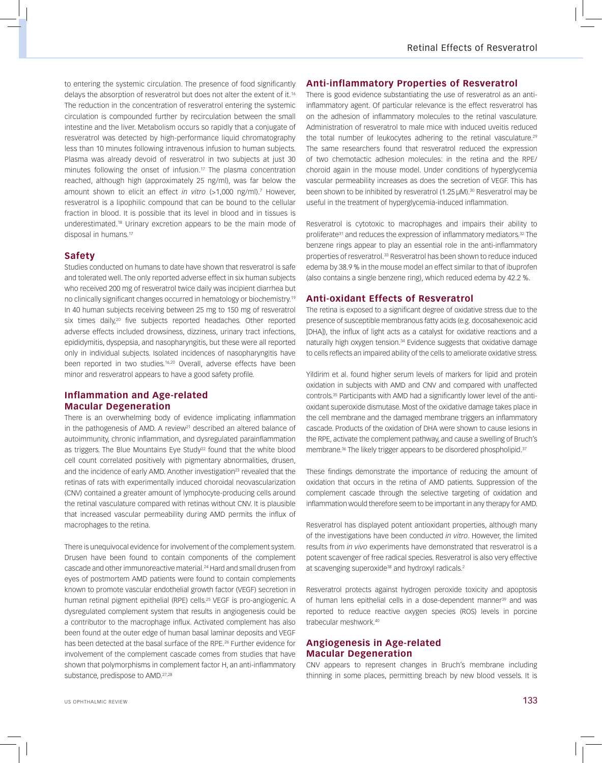to entering the systemic circulation. The presence of food significantly delays the absorption of resveratrol but does not alter the extent of it.16 The reduction in the concentration of resveratrol entering the systemic circulation is compounded further by recirculation between the small intestine and the liver. Metabolism occurs so rapidly that a conjugate of resveratrol was detected by high-performance liquid chromatography less than 10 minutes following intravenous infusion to human subjects. Plasma was already devoid of resveratrol in two subjects at just 30 minutes following the onset of infusion.<sup>17</sup> The plasma concentration reached, although high (approximately 25 ng/ml), was far below the amount shown to elicit an effect *in vitro* (>1,000 ng/ml).<sup>7</sup> However, resveratrol is a lipophilic compound that can be bound to the cellular fraction in blood. It is possible that its level in blood and in tissues is underestimated.18 Urinary excretion appears to be the main mode of disposal in humans.17

# **Safety**

Studies conducted on humans to date have shown that resveratrol is safe and tolerated well. The only reported adverse effect in six human subjects who received 200 mg of resveratrol twice daily was incipient diarrhea but no clinically significant changes occurred in hematology or biochemistry.19 In 40 human subjects receiving between 25 mg to 150 mg of resveratrol six times daily,<sup>20</sup> five subjects reported headaches. Other reported adverse effects included drowsiness, dizziness, urinary tract infections, epididymitis, dyspepsia, and nasopharyngitis, but these were all reported only in individual subjects. Isolated incidences of nasopharyngitis have been reported in two studies.<sup>16,20</sup> Overall, adverse effects have been minor and resveratrol appears to have a good safety profile.

# **Inflammation and Age-related Macular Degeneration**

There is an overwhelming body of evidence implicating inflammation in the pathogenesis of AMD. A review<sup>21</sup> described an altered balance of autoimmunity, chronic inflammation, and dysregulated parainflammation as triggers. The Blue Mountains Eye Study<sup>22</sup> found that the white blood cell count correlated positively with pigmentary abnormalities, drusen, and the incidence of early AMD. Another investigation<sup>23</sup> revealed that the retinas of rats with experimentally induced choroidal neovascularization (CNV) contained a greater amount of lymphocyte-producing cells around the retinal vasculature compared with retinas without CNV. It is plausible that increased vascular permeability during AMD permits the influx of macrophages to the retina.

There is unequivocal evidence for involvement of the complement system. Drusen have been found to contain components of the complement cascade and other immunoreactive material.24 Hard and small drusen from eyes of postmortem AMD patients were found to contain complements known to promote vascular endothelial growth factor (VEGF) secretion in human retinal pigment epithelial (RPE) cells.<sup>25</sup> VEGF is pro-angiogenic. A dysregulated complement system that results in angiogenesis could be a contributor to the macrophage influx. Activated complement has also been found at the outer edge of human basal laminar deposits and VEGF has been detected at the basal surface of the RPE.<sup>26</sup> Further evidence for involvement of the complement cascade comes from studies that have shown that polymorphisms in complement factor H, an anti-inflammatory substance, predispose to AMD.<sup>27,28</sup>

# **Anti-inflammatory Properties of Resveratrol**

There is good evidence substantiating the use of resveratrol as an antiinflammatory agent. Of particular relevance is the effect resveratrol has on the adhesion of inflammatory molecules to the retinal vasculature. Administration of resveratrol to male mice with induced uveitis reduced the total number of leukocytes adhering to the retinal vasculature.<sup>29</sup> The same researchers found that resveratrol reduced the expression of two chemotactic adhesion molecules: in the retina and the RPE/ choroid again in the mouse model. Under conditions of hyperglycemia vascular permeability increases as does the secretion of VEGF. This has been shown to be inhibited by resveratrol (1.25 µM).<sup>30</sup> Resveratrol may be useful in the treatment of hyperglycemia-induced inflammation.

Resveratrol is cytotoxic to macrophages and impairs their ability to proliferate<sup>31</sup> and reduces the expression of inflammatory mediators.<sup>32</sup> The benzene rings appear to play an essential role in the anti-inflammatory properties of resveratrol.33 Resveratrol has been shown to reduce induced edema by 38.9 % in the mouse model an effect similar to that of ibuprofen (also contains a single benzene ring), which reduced edema by 42.2 %.

### **Anti-oxidant Effects of Resveratrol**

The retina is exposed to a significant degree of oxidative stress due to the presence of susceptible membranous fatty acids (e.g. docosahexenoic acid [DHA]), the influx of light acts as a catalyst for oxidative reactions and a naturally high oxygen tension.<sup>34</sup> Evidence suggests that oxidative damage to cells reflects an impaired ability of the cells to ameliorate oxidative stress.

Yildirim et al. found higher serum levels of markers for lipid and protein oxidation in subjects with AMD and CNV and compared with unaffected controls.35 Participants with AMD had a significantly lower level of the antioxidant superoxide dismutase. Most of the oxidative damage takes place in the cell membrane and the damaged membrane triggers an inflammatory cascade. Products of the oxidation of DHA were shown to cause lesions in the RPE, activate the complement pathway, and cause a swelling of Bruch's membrane.<sup>36</sup> The likely trigger appears to be disordered phospholipid.<sup>37</sup>

These findings demonstrate the importance of reducing the amount of oxidation that occurs in the retina of AMD patients. Suppression of the complement cascade through the selective targeting of oxidation and inflammation would therefore seem to be important in any therapy for AMD.

Resveratrol has displayed potent antioxidant properties, although many of the investigations have been conducted *in vitro*. However, the limited results from *in vivo* experiments have demonstrated that resveratrol is a potent scavenger of free radical species. Resveratrol is also very effective at scavenging superoxide<sup>38</sup> and hydroxyl radicals.<sup>2</sup>

Resveratrol protects against hydrogen peroxide toxicity and apoptosis of human lens epithelial cells in a dose-dependent manner<sup>39</sup> and was reported to reduce reactive oxygen species (ROS) levels in porcine trabecular meshwork 40

# **Angiogenesis in Age-related Macular Degeneration**

CNV appears to represent changes in Bruch's membrane including thinning in some places, permitting breach by new blood vessels. It is